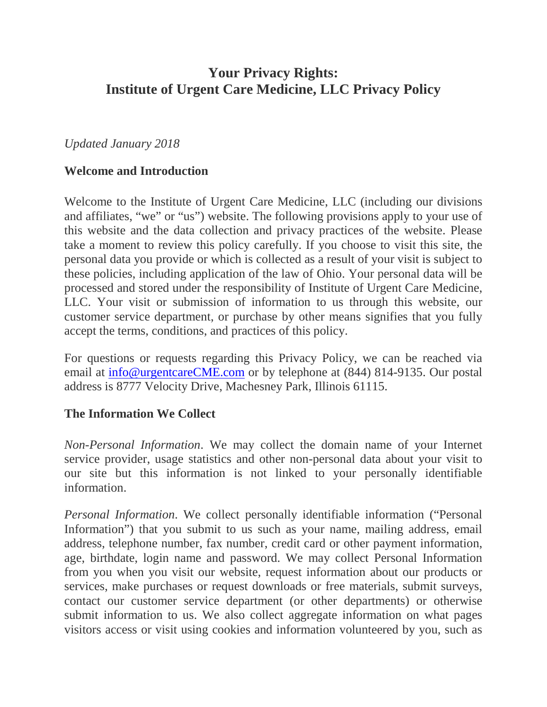# **Your Privacy Rights: Institute of Urgent Care Medicine, LLC Privacy Policy**

#### *Updated January 2018*

#### **Welcome and Introduction**

Welcome to the Institute of Urgent Care Medicine, LLC (including our divisions and affiliates, "we" or "us") website. The following provisions apply to your use of this website and the data collection and privacy practices of the website. Please take a moment to review this policy carefully. If you choose to visit this site, the personal data you provide or which is collected as a result of your visit is subject to these policies, including application of the law of Ohio. Your personal data will be processed and stored under the responsibility of Institute of Urgent Care Medicine, LLC. Your visit or submission of information to us through this website, our customer service department, or purchase by other means signifies that you fully accept the terms, conditions, and practices of this policy.

For questions or requests regarding this Privacy Policy, we can be reached via email at [info@urgentcareCME.com](mailto:info@urgentcareCME.com) or by telephone at (844) 814-9135. Our postal address is 8777 Velocity Drive, Machesney Park, Illinois 61115.

#### **The Information We Collect**

*Non-Personal Information*. We may collect the domain name of your Internet service provider, usage statistics and other non-personal data about your visit to our site but this information is not linked to your personally identifiable information.

*Personal Information*. We collect personally identifiable information ("Personal Information") that you submit to us such as your name, mailing address, email address, telephone number, fax number, credit card or other payment information, age, birthdate, login name and password. We may collect Personal Information from you when you visit our website, request information about our products or services, make purchases or request downloads or free materials, submit surveys, contact our customer service department (or other departments) or otherwise submit information to us. We also collect aggregate information on what pages visitors access or visit using cookies and information volunteered by you, such as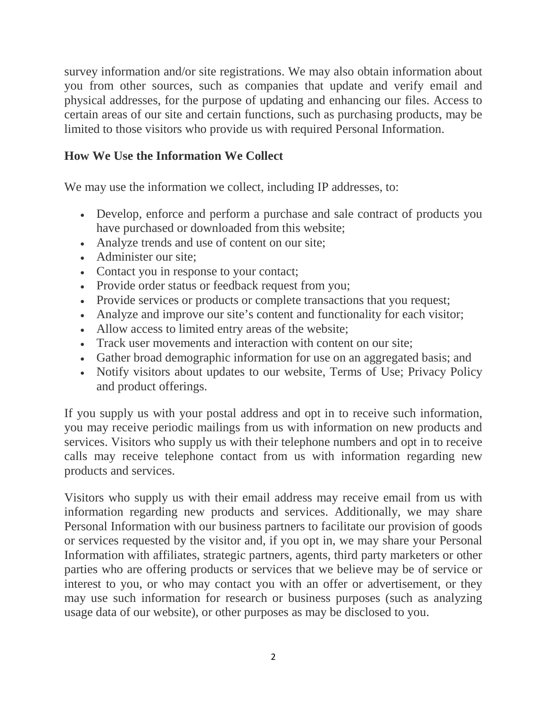survey information and/or site registrations. We may also obtain information about you from other sources, such as companies that update and verify email and physical addresses, for the purpose of updating and enhancing our files. Access to certain areas of our site and certain functions, such as purchasing products, may be limited to those visitors who provide us with required Personal Information.

### **How We Use the Information We Collect**

We may use the information we collect, including IP addresses, to:

- Develop, enforce and perform a purchase and sale contract of products you have purchased or downloaded from this website;
- Analyze trends and use of content on our site;
- Administer our site:
- Contact you in response to your contact;
- Provide order status or feedback request from you;
- Provide services or products or complete transactions that you request;
- Analyze and improve our site's content and functionality for each visitor;
- Allow access to limited entry areas of the website;
- Track user movements and interaction with content on our site;
- Gather broad demographic information for use on an aggregated basis; and
- Notify visitors about updates to our website, Terms of Use; Privacy Policy and product offerings.

If you supply us with your postal address and opt in to receive such information, you may receive periodic mailings from us with information on new products and services. Visitors who supply us with their telephone numbers and opt in to receive calls may receive telephone contact from us with information regarding new products and services.

Visitors who supply us with their email address may receive email from us with information regarding new products and services. Additionally, we may share Personal Information with our business partners to facilitate our provision of goods or services requested by the visitor and, if you opt in, we may share your Personal Information with affiliates, strategic partners, agents, third party marketers or other parties who are offering products or services that we believe may be of service or interest to you, or who may contact you with an offer or advertisement, or they may use such information for research or business purposes (such as analyzing usage data of our website), or other purposes as may be disclosed to you.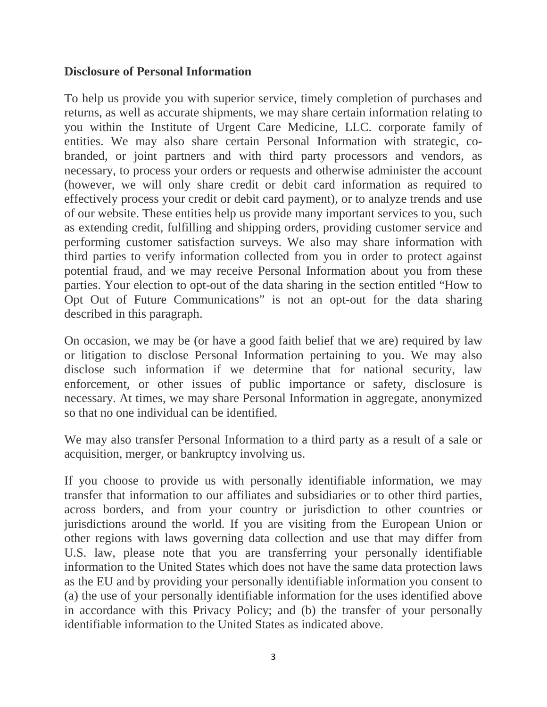#### **Disclosure of Personal Information**

To help us provide you with superior service, timely completion of purchases and returns, as well as accurate shipments, we may share certain information relating to you within the Institute of Urgent Care Medicine, LLC. corporate family of entities. We may also share certain Personal Information with strategic, cobranded, or joint partners and with third party processors and vendors, as necessary, to process your orders or requests and otherwise administer the account (however, we will only share credit or debit card information as required to effectively process your credit or debit card payment), or to analyze trends and use of our website. These entities help us provide many important services to you, such as extending credit, fulfilling and shipping orders, providing customer service and performing customer satisfaction surveys. We also may share information with third parties to verify information collected from you in order to protect against potential fraud, and we may receive Personal Information about you from these parties. Your election to opt-out of the data sharing in the section entitled "How to Opt Out of Future Communications" is not an opt-out for the data sharing described in this paragraph.

On occasion, we may be (or have a good faith belief that we are) required by law or litigation to disclose Personal Information pertaining to you. We may also disclose such information if we determine that for national security, law enforcement, or other issues of public importance or safety, disclosure is necessary. At times, we may share Personal Information in aggregate, anonymized so that no one individual can be identified.

We may also transfer Personal Information to a third party as a result of a sale or acquisition, merger, or bankruptcy involving us.

If you choose to provide us with personally identifiable information, we may transfer that information to our affiliates and subsidiaries or to other third parties, across borders, and from your country or jurisdiction to other countries or jurisdictions around the world. If you are visiting from the European Union or other regions with laws governing data collection and use that may differ from U.S. law, please note that you are transferring your personally identifiable information to the United States which does not have the same data protection laws as the EU and by providing your personally identifiable information you consent to (a) the use of your personally identifiable information for the uses identified above in accordance with this Privacy Policy; and (b) the transfer of your personally identifiable information to the United States as indicated above.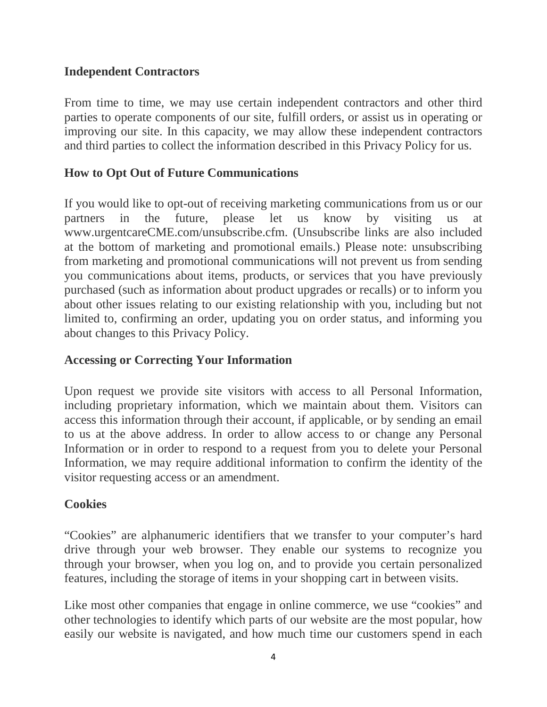#### **Independent Contractors**

From time to time, we may use certain independent contractors and other third parties to operate components of our site, fulfill orders, or assist us in operating or improving our site. In this capacity, we may allow these independent contractors and third parties to collect the information described in this Privacy Policy for us.

### **How to Opt Out of Future Communications**

If you would like to opt-out of receiving marketing communications from us or our partners in the future, please let us know by visiting us at www.urgentcareCME.com/unsubscribe.cfm. (Unsubscribe links are also included at the bottom of marketing and promotional emails.) Please note: unsubscribing from marketing and promotional communications will not prevent us from sending you communications about items, products, or services that you have previously purchased (such as information about product upgrades or recalls) or to inform you about other issues relating to our existing relationship with you, including but not limited to, confirming an order, updating you on order status, and informing you about changes to this Privacy Policy.

### **Accessing or Correcting Your Information**

Upon request we provide site visitors with access to all Personal Information, including proprietary information, which we maintain about them. Visitors can access this information through their account, if applicable, or by sending an email to us at the above address. In order to allow access to or change any Personal Information or in order to respond to a request from you to delete your Personal Information, we may require additional information to confirm the identity of the visitor requesting access or an amendment.

#### **Cookies**

"Cookies" are alphanumeric identifiers that we transfer to your computer's hard drive through your web browser. They enable our systems to recognize you through your browser, when you log on, and to provide you certain personalized features, including the storage of items in your shopping cart in between visits.

Like most other companies that engage in online commerce, we use "cookies" and other technologies to identify which parts of our website are the most popular, how easily our website is navigated, and how much time our customers spend in each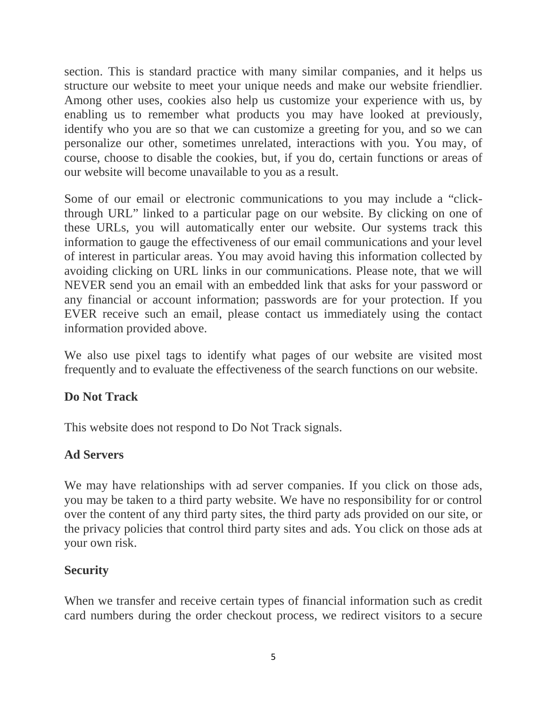section. This is standard practice with many similar companies, and it helps us structure our website to meet your unique needs and make our website friendlier. Among other uses, cookies also help us customize your experience with us, by enabling us to remember what products you may have looked at previously, identify who you are so that we can customize a greeting for you, and so we can personalize our other, sometimes unrelated, interactions with you. You may, of course, choose to disable the cookies, but, if you do, certain functions or areas of our website will become unavailable to you as a result.

Some of our email or electronic communications to you may include a "clickthrough URL" linked to a particular page on our website. By clicking on one of these URLs, you will automatically enter our website. Our systems track this information to gauge the effectiveness of our email communications and your level of interest in particular areas. You may avoid having this information collected by avoiding clicking on URL links in our communications. Please note, that we will NEVER send you an email with an embedded link that asks for your password or any financial or account information; passwords are for your protection. If you EVER receive such an email, please contact us immediately using the contact information provided above.

We also use pixel tags to identify what pages of our website are visited most frequently and to evaluate the effectiveness of the search functions on our website.

### **Do Not Track**

This website does not respond to Do Not Track signals.

### **Ad Servers**

We may have relationships with ad server companies. If you click on those ads, you may be taken to a third party website. We have no responsibility for or control over the content of any third party sites, the third party ads provided on our site, or the privacy policies that control third party sites and ads. You click on those ads at your own risk.

### **Security**

When we transfer and receive certain types of financial information such as credit card numbers during the order checkout process, we redirect visitors to a secure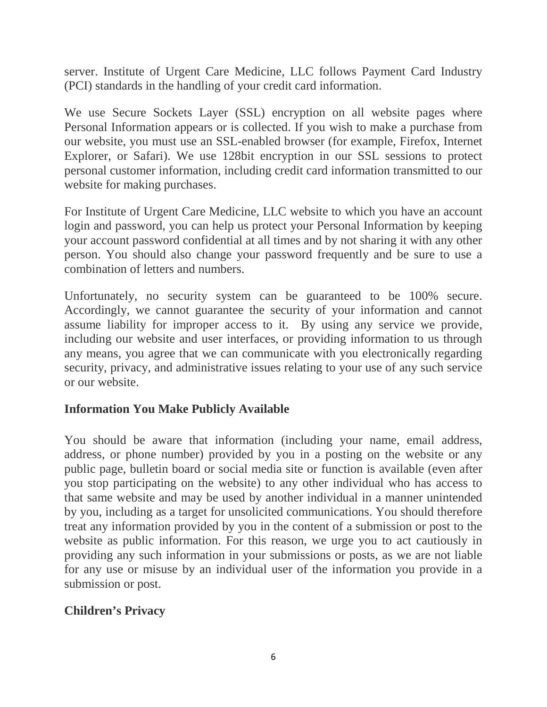server. Institute of Urgent Care Medicine, LLC follows Payment Card Industry (PCI) standards in the handling of your credit card information.

We use Secure Sockets Layer (SSL) encryption on all website pages where Personal Information appears or is collected. If you wish to make a purchase from our website, you must use an SSL-enabled browser (for example, Firefox, Internet Explorer, or Safari). We use 128bit encryption in our SSL sessions to protect personal customer information, including credit card information transmitted to our website for making purchases.

For Institute of Urgent Care Medicine, LLC website to which you have an account login and password, you can help us protect your Personal Information by keeping your account password confidential at all times and by not sharing it with any other person. You should also change your password frequently and be sure to use a combination of letters and numbers.

Unfortunately, no security system can be guaranteed to be 100% secure. Accordingly, we cannot guarantee the security of your information and cannot assume liability for improper access to it. By using any service we provide, including our website and user interfaces, or providing information to us through any means, you agree that we can communicate with you electronically regarding security, privacy, and administrative issues relating to your use of any such service or our website.

### **Information You Make Publicly Available**

You should be aware that information (including your name, email address, address, or phone number) provided by you in a posting on the website or any public page, bulletin board or social media site or function is available (even after you stop participating on the website) to any other individual who has access to that same website and may be used by another individual in a manner unintended by you, including as a target for unsolicited communications. You should therefore treat any information provided by you in the content of a submission or post to the website as public information. For this reason, we urge you to act cautiously in providing any such information in your submissions or posts, as we are not liable for any use or misuse by an individual user of the information you provide in a submission or post.

### **Children's Privacy**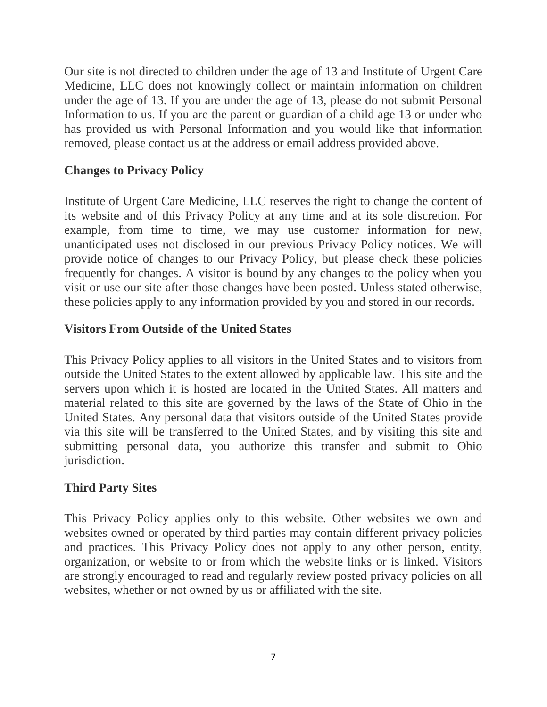Our site is not directed to children under the age of 13 and Institute of Urgent Care Medicine, LLC does not knowingly collect or maintain information on children under the age of 13. If you are under the age of 13, please do not submit Personal Information to us. If you are the parent or guardian of a child age 13 or under who has provided us with Personal Information and you would like that information removed, please contact us at the address or email address provided above.

# **Changes to Privacy Policy**

Institute of Urgent Care Medicine, LLC reserves the right to change the content of its website and of this Privacy Policy at any time and at its sole discretion. For example, from time to time, we may use customer information for new, unanticipated uses not disclosed in our previous Privacy Policy notices. We will provide notice of changes to our Privacy Policy, but please check these policies frequently for changes. A visitor is bound by any changes to the policy when you visit or use our site after those changes have been posted. Unless stated otherwise, these policies apply to any information provided by you and stored in our records.

## **Visitors From Outside of the United States**

This Privacy Policy applies to all visitors in the United States and to visitors from outside the United States to the extent allowed by applicable law. This site and the servers upon which it is hosted are located in the United States. All matters and material related to this site are governed by the laws of the State of Ohio in the United States. Any personal data that visitors outside of the United States provide via this site will be transferred to the United States, and by visiting this site and submitting personal data, you authorize this transfer and submit to Ohio jurisdiction.

# **Third Party Sites**

This Privacy Policy applies only to this website. Other websites we own and websites owned or operated by third parties may contain different privacy policies and practices. This Privacy Policy does not apply to any other person, entity, organization, or website to or from which the website links or is linked. Visitors are strongly encouraged to read and regularly review posted privacy policies on all websites, whether or not owned by us or affiliated with the site.